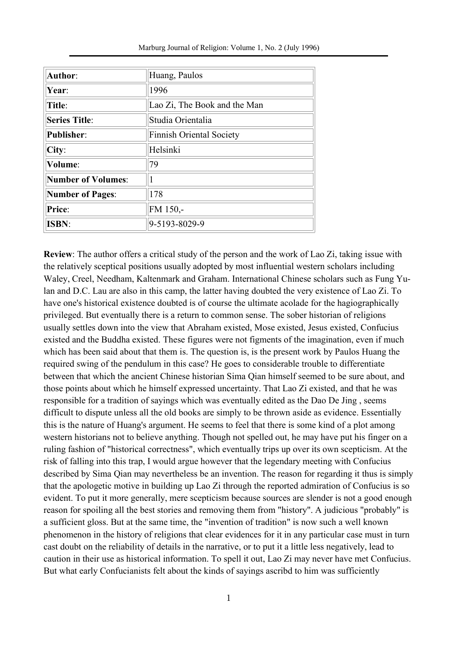| Marburg Journal of Religion: Volume 1, No. 2 (July 1996) |  |  |
|----------------------------------------------------------|--|--|
|                                                          |  |  |

| Author:                   | Huang, Paulos                   |  |
|---------------------------|---------------------------------|--|
| Year:                     | 1996                            |  |
| Title:                    | Lao Zi, The Book and the Man    |  |
| <b>Series Title:</b>      | Studia Orientalia               |  |
| <b>Publisher:</b>         | <b>Finnish Oriental Society</b> |  |
| City:                     | Helsinki                        |  |
| Volume:                   | 79                              |  |
| <b>Number of Volumes:</b> |                                 |  |
| <b>Number of Pages:</b>   | 178                             |  |
| Price:                    | FM 150,-                        |  |
| ISBN:                     | 9-5193-8029-9                   |  |

**Review**: The author offers a critical study of the person and the work of Lao Zi, taking issue with the relatively sceptical positions usually adopted by most influential western scholars including Waley, Creel, Needham, Kaltenmark and Graham. International Chinese scholars such as Fung Yulan and D.C. Lau are also in this camp, the latter having doubted the very existence of Lao Zi. To have one's historical existence doubted is of course the ultimate acolade for the hagiographically privileged. But eventually there is a return to common sense. The sober historian of religions usually settles down into the view that Abraham existed, Mose existed, Jesus existed, Confucius existed and the Buddha existed. These figures were not figments of the imagination, even if much which has been said about that them is. The question is, is the present work by Paulos Huang the required swing of the pendulum in this case? He goes to considerable trouble to differentiate between that which the ancient Chinese historian Sima Qian himself seemed to be sure about, and those points about which he himself expressed uncertainty. That Lao Zi existed, and that he was responsible for a tradition of sayings which was eventually edited as the Dao De Jing , seems difficult to dispute unless all the old books are simply to be thrown aside as evidence. Essentially this is the nature of Huang's argument. He seems to feel that there is some kind of a plot among western historians not to believe anything. Though not spelled out, he may have put his finger on a ruling fashion of "historical correctness", which eventually trips up over its own scepticism. At the risk of falling into this trap, I would argue however that the legendary meeting with Confucius described by Sima Qian may nevertheless be an invention. The reason for regarding it thus is simply that the apologetic motive in building up Lao Zi through the reported admiration of Confucius is so evident. To put it more generally, mere scepticism because sources are slender is not a good enough reason for spoiling all the best stories and removing them from "history". A judicious "probably" is a sufficient gloss. But at the same time, the "invention of tradition" is now such a well known phenomenon in the history of religions that clear evidences for it in any particular case must in turn cast doubt on the reliability of details in the narrative, or to put it a little less negatively, lead to caution in their use as historical information. To spell it out, Lao Zi may never have met Confucius. But what early Confucianists felt about the kinds of sayings ascribd to him was sufficiently